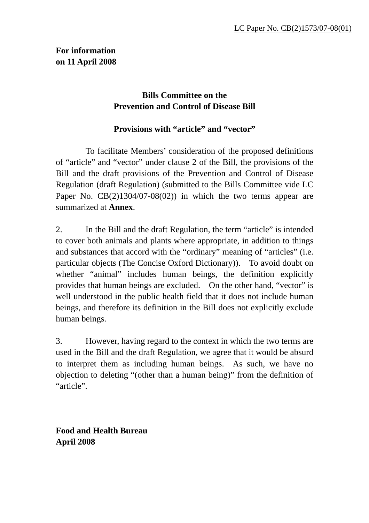## **Bills Committee on the Prevention and Control of Disease Bill**

## **Provisions with "article" and "vector"**

 To facilitate Members' consideration of the proposed definitions of "article" and "vector" under clause 2 of the Bill, the provisions of the Bill and the draft provisions of the Prevention and Control of Disease Regulation (draft Regulation) (submitted to the Bills Committee vide LC Paper No.  $CB(2)1304/07-08(02)$  in which the two terms appear are summarized at **Annex**.

2. In the Bill and the draft Regulation, the term "article" is intended to cover both animals and plants where appropriate, in addition to things and substances that accord with the "ordinary" meaning of "articles" (i.e. particular objects (The Concise Oxford Dictionary)). To avoid doubt on whether "animal" includes human beings, the definition explicitly provides that human beings are excluded. On the other hand, "vector" is well understood in the public health field that it does not include human beings, and therefore its definition in the Bill does not explicitly exclude human beings.

3. However, having regard to the context in which the two terms are used in the Bill and the draft Regulation, we agree that it would be absurd to interpret them as including human beings. As such, we have no objection to deleting "(other than a human being)" from the definition of "article".

**Food and Health Bureau April 2008**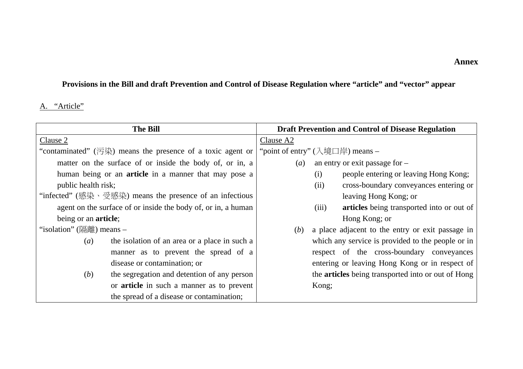#### **Annex**

# **Provisions in the Bill and draft Prevention and Control of Disease Regulation where "article" and "vector" appear**

### A. "Article"

| <b>The Bill</b>                                               | <b>Draft Prevention and Control of Disease Regulation</b> |
|---------------------------------------------------------------|-----------------------------------------------------------|
| Clause 2                                                      | Clause A2                                                 |
| "contaminated" (污染) means the presence of a toxic agent or    | "point of entry" (入境口岸) means -                           |
| matter on the surface of or inside the body of, or in, a      | an entry or exit passage for $-$<br>$\left( a\right)$     |
| human being or an <b>article</b> in a manner that may pose a  | people entering or leaving Hong Kong;<br>(i)              |
| public health risk;                                           | cross-boundary conveyances entering or<br>(ii)            |
| "infected" (感染、受感染) means the presence of an infectious       | leaving Hong Kong; or                                     |
| agent on the surface of or inside the body of, or in, a human | (iii)<br>articles being transported into or out of        |
| being or an <b>article</b> ;                                  | Hong Kong; or                                             |
| "isolation" (隔離) means $-$                                    | a place adjacent to the entry or exit passage in<br>(b)   |
| the isolation of an area or a place in such a<br>(a)          | which any service is provided to the people or in         |
| manner as to prevent the spread of a                          | respect of the cross-boundary conveyances                 |
| disease or contamination; or                                  | entering or leaving Hong Kong or in respect of            |
| the segregation and detention of any person<br>(b)            | the <b>articles</b> being transported into or out of Hong |
| or <b>article</b> in such a manner as to prevent              | Kong;                                                     |
| the spread of a disease or contamination;                     |                                                           |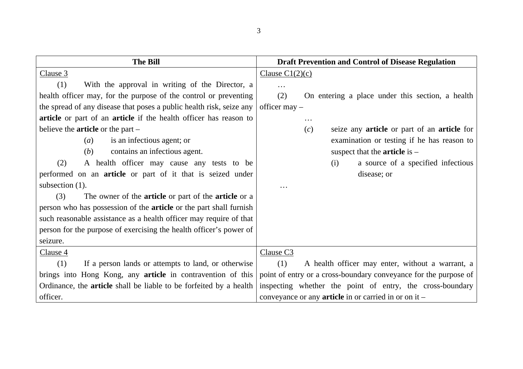| <b>The Bill</b>                                                           | <b>Draft Prevention and Control of Disease Regulation</b>        |
|---------------------------------------------------------------------------|------------------------------------------------------------------|
| Clause 3                                                                  | Clause $C1(2)(c)$                                                |
| With the approval in writing of the Director, a<br>(1)                    | $\cdots$                                                         |
| health officer may, for the purpose of the control or preventing          | (2)<br>On entering a place under this section, a health          |
| the spread of any disease that poses a public health risk, seize any      | officer $may -$                                                  |
| article or part of an article if the health officer has reason to         | .                                                                |
| believe the <b>article</b> or the part $-$                                | seize any article or part of an article for<br>(c)               |
| is an infectious agent; or<br>(a)                                         | examination or testing if he has reason to                       |
| contains an infectious agent.<br>(b)                                      | suspect that the <b>article</b> is $-$                           |
| A health officer may cause any tests to be<br>(2)                         | (i)<br>a source of a specified infectious                        |
| performed on an <b>article</b> or part of it that is seized under         | disease; or                                                      |
| subsection (1).                                                           |                                                                  |
| The owner of the <b>article</b> or part of the <b>article</b> or a<br>(3) |                                                                  |
| person who has possession of the <b>article</b> or the part shall furnish |                                                                  |
| such reasonable assistance as a health officer may require of that        |                                                                  |
| person for the purpose of exercising the health officer's power of        |                                                                  |
| seizure.                                                                  |                                                                  |
| Clause 4                                                                  | Clause C <sub>3</sub>                                            |
| If a person lands or attempts to land, or otherwise<br>(1)                | (1)<br>A health officer may enter, without a warrant, a          |
| brings into Hong Kong, any <b>article</b> in contravention of this        | point of entry or a cross-boundary conveyance for the purpose of |
| Ordinance, the <b>article</b> shall be liable to be forfeited by a health | inspecting whether the point of entry, the cross-boundary        |
| officer.                                                                  | conveyance or any <b>article</b> in or carried in or on it $-$   |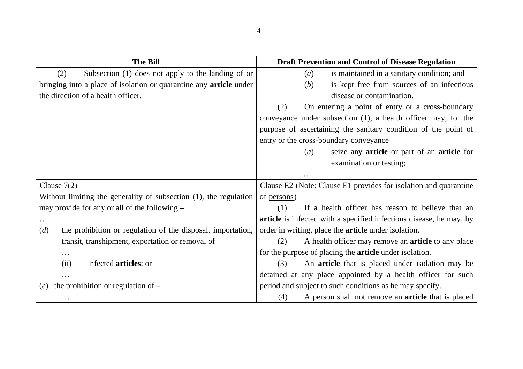| <b>The Bill</b>                                                           | <b>Draft Prevention and Control of Disease Regulation</b>           |
|---------------------------------------------------------------------------|---------------------------------------------------------------------|
| Subsection (1) does not apply to the landing of or<br>(2)                 | is maintained in a sanitary condition; and<br>(a)                   |
| bringing into a place of isolation or quarantine any <b>article</b> under | is kept free from sources of an infectious<br>( <i>b</i> )          |
| the direction of a health officer.                                        | disease or contamination.                                           |
|                                                                           | On entering a point of entry or a cross-boundary<br>(2)             |
|                                                                           | conveyance under subsection (1), a health officer may, for the      |
|                                                                           | purpose of ascertaining the sanitary condition of the point of      |
|                                                                           | entry or the cross-boundary conveyance –                            |
|                                                                           | seize any <b>article</b> or part of an <b>article</b> for<br>(a)    |
|                                                                           | examination or testing;                                             |
|                                                                           |                                                                     |
| Clause $7(2)$                                                             | Clause $E2$ (Note: Clause E1 provides for isolation and quarantine  |
| Without limiting the generality of subsection (1), the regulation         | of persons.)                                                        |
| may provide for any or all of the following –                             | If a health officer has reason to believe that an<br>(1)            |
| $\cdots$                                                                  | article is infected with a specified infectious disease, he may, by |
| the prohibition or regulation of the disposal, importation,<br>(d)        | order in writing, place the <b>article</b> under isolation.         |
| transit, transhipment, exportation or removal of -                        | A health officer may remove an <b>article</b> to any place<br>(2)   |
| .                                                                         | for the purpose of placing the <b>article</b> under isolation.      |
| infected <b>articles</b> ; or<br>(ii)                                     | An article that is placed under isolation may be<br>(3)             |
|                                                                           | detained at any place appointed by a health officer for such        |
| the prohibition or regulation of -<br>(e)                                 | period and subject to such conditions as he may specify.            |
| $\cdots$                                                                  | (4)<br>A person shall not remove an <b>article</b> that is placed   |

4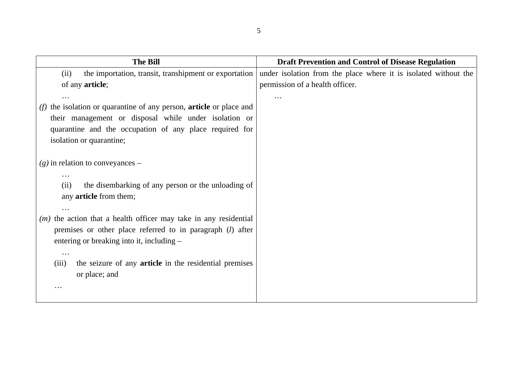| <b>The Bill</b>                                                        | <b>Draft Prevention and Control of Disease Regulation</b>       |
|------------------------------------------------------------------------|-----------------------------------------------------------------|
| the importation, transit, transhipment or exportation<br>(ii)          | under isolation from the place where it is isolated without the |
| of any <b>article</b> ;                                                | permission of a health officer.                                 |
|                                                                        | .                                                               |
| the isolation or quarantine of any person, article or place and<br>(f) |                                                                 |
| their management or disposal while under isolation or                  |                                                                 |
| quarantine and the occupation of any place required for                |                                                                 |
| isolation or quarantine;                                               |                                                                 |
|                                                                        |                                                                 |
| $(g)$ in relation to conveyances –                                     |                                                                 |
| $\cdots$<br>the disembarking of any person or the unloading of<br>(ii) |                                                                 |
| any <b>article</b> from them;                                          |                                                                 |
| .                                                                      |                                                                 |
| $(m)$ the action that a health officer may take in any residential     |                                                                 |
| premises or other place referred to in paragraph ( <i>l</i> ) after    |                                                                 |
| entering or breaking into it, including –                              |                                                                 |
| $\ddotsc$                                                              |                                                                 |
| the seizure of any <b>article</b> in the residential premises<br>(iii) |                                                                 |
| or place; and                                                          |                                                                 |
|                                                                        |                                                                 |
|                                                                        |                                                                 |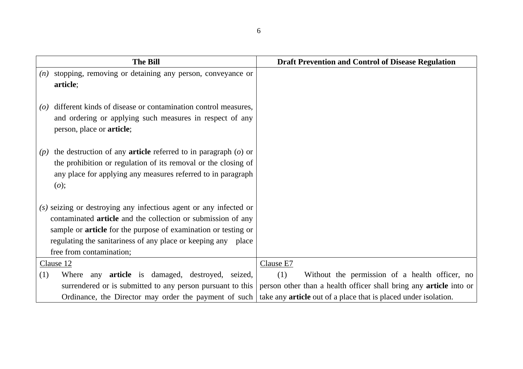| <b>The Bill</b>                                                                                                                                                                                                                                                                                                | <b>Draft Prevention and Control of Disease Regulation</b>                 |
|----------------------------------------------------------------------------------------------------------------------------------------------------------------------------------------------------------------------------------------------------------------------------------------------------------------|---------------------------------------------------------------------------|
| stopping, removing or detaining any person, conveyance or<br>(n)<br>article;                                                                                                                                                                                                                                   |                                                                           |
| different kinds of disease or contamination control measures,<br>$\left( 0\right)$<br>and ordering or applying such measures in respect of any<br>person, place or <b>article</b> ;                                                                                                                            |                                                                           |
| the destruction of any <b>article</b> referred to in paragraph $(o)$ or<br>(p)<br>the prohibition or regulation of its removal or the closing of<br>any place for applying any measures referred to in paragraph<br>(o);                                                                                       |                                                                           |
| (s) seizing or destroying any infectious agent or any infected or<br>contaminated <b>article</b> and the collection or submission of any<br>sample or <b>article</b> for the purpose of examination or testing or<br>regulating the sanitariness of any place or keeping any place<br>free from contamination; |                                                                           |
| Clause 12                                                                                                                                                                                                                                                                                                      | Clause E7                                                                 |
| (1)<br>Where any <b>article</b> is damaged, destroyed, seized,                                                                                                                                                                                                                                                 | (1)<br>Without the permission of a health officer, no                     |
| surrendered or is submitted to any person pursuant to this                                                                                                                                                                                                                                                     | person other than a health officer shall bring any <b>article</b> into or |
| Ordinance, the Director may order the payment of such                                                                                                                                                                                                                                                          | take any <b>article</b> out of a place that is placed under isolation.    |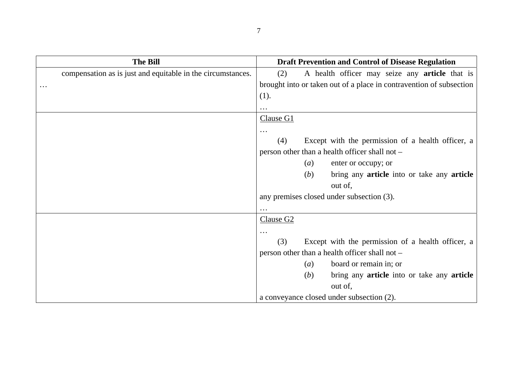| <b>The Bill</b>                                             | <b>Draft Prevention and Control of Disease Regulation</b>           |
|-------------------------------------------------------------|---------------------------------------------------------------------|
| compensation as is just and equitable in the circumstances. | A health officer may seize any <b>article</b> that is<br>(2)        |
| $\ddots$                                                    | brought into or taken out of a place in contravention of subsection |
|                                                             | (1).                                                                |
|                                                             | $\cdots$                                                            |
|                                                             | Clause G1                                                           |
|                                                             | $\ddotsc$                                                           |
|                                                             | Except with the permission of a health officer, a<br>(4)            |
|                                                             | person other than a health officer shall not -                      |
|                                                             | (a)<br>enter or occupy; or                                          |
|                                                             | (b)<br>bring any <b>article</b> into or take any <b>article</b>     |
|                                                             | out of,                                                             |
|                                                             | any premises closed under subsection (3).                           |
|                                                             | $\ddots$                                                            |
|                                                             | Clause G <sub>2</sub>                                               |
|                                                             | $\ddots$                                                            |
|                                                             | (3)<br>Except with the permission of a health officer, a            |
|                                                             | person other than a health officer shall not -                      |
|                                                             | board or remain in; or<br>(a)                                       |
|                                                             | bring any <b>article</b> into or take any <b>article</b><br>(b)     |
|                                                             | out of,                                                             |
|                                                             | a conveyance closed under subsection (2).                           |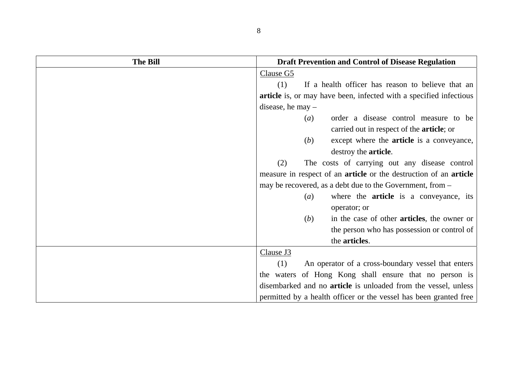| <b>The Bill</b> | <b>Draft Prevention and Control of Disease Regulation</b>                       |
|-----------------|---------------------------------------------------------------------------------|
|                 | Clause G5                                                                       |
|                 | (1)<br>If a health officer has reason to believe that an                        |
|                 | article is, or may have been, infected with a specified infectious              |
|                 | disease, he may $-$                                                             |
|                 | order a disease control measure to be<br>$\left(a\right)$                       |
|                 | carried out in respect of the <b>article</b> ; or                               |
|                 | except where the <b>article</b> is a conveyance,<br>( <i>b</i> )                |
|                 | destroy the <b>article</b> .                                                    |
|                 | (2)<br>The costs of carrying out any disease control                            |
|                 | measure in respect of an <b>article</b> or the destruction of an <b>article</b> |
|                 | may be recovered, as a debt due to the Government, from –                       |
|                 | where the <b>article</b> is a conveyance, its<br>$\left(a\right)$               |
|                 | operator; or                                                                    |
|                 | in the case of other articles, the owner or<br>( <i>b</i> )                     |
|                 | the person who has possession or control of                                     |
|                 | the articles.                                                                   |
|                 | Clause J3                                                                       |
|                 | An operator of a cross-boundary vessel that enters<br>(1)                       |
|                 | the waters of Hong Kong shall ensure that no person is                          |
|                 | disembarked and no <b>article</b> is unloaded from the vessel, unless           |
|                 | permitted by a health officer or the vessel has been granted free               |

8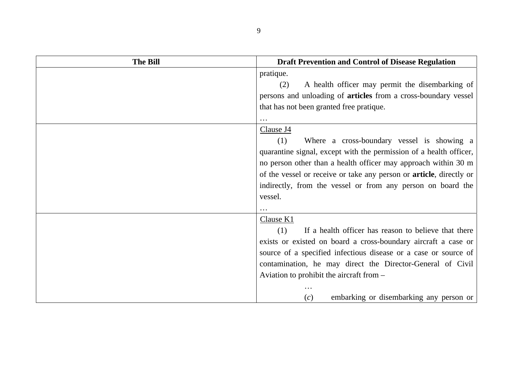| <b>The Bill</b> | <b>Draft Prevention and Control of Disease Regulation</b>                   |
|-----------------|-----------------------------------------------------------------------------|
|                 | pratique.                                                                   |
|                 | A health officer may permit the disembarking of<br>(2)                      |
|                 | persons and unloading of <b>articles</b> from a cross-boundary vessel       |
|                 | that has not been granted free pratique.                                    |
|                 |                                                                             |
|                 | Clause J4                                                                   |
|                 | Where a cross-boundary vessel is showing a<br>(1)                           |
|                 | quarantine signal, except with the permission of a health officer,          |
|                 | no person other than a health officer may approach within 30 m              |
|                 | of the vessel or receive or take any person or <b>article</b> , directly or |
|                 | indirectly, from the vessel or from any person on board the                 |
|                 | vessel.                                                                     |
|                 |                                                                             |
|                 | Clause K1                                                                   |
|                 | If a health officer has reason to believe that there<br>(1)                 |
|                 | exists or existed on board a cross-boundary aircraft a case or              |
|                 | source of a specified infectious disease or a case or source of             |
|                 | contamination, he may direct the Director-General of Civil                  |
|                 | Aviation to prohibit the aircraft from –                                    |
|                 |                                                                             |
|                 | embarking or disembarking any person or<br>(c)                              |